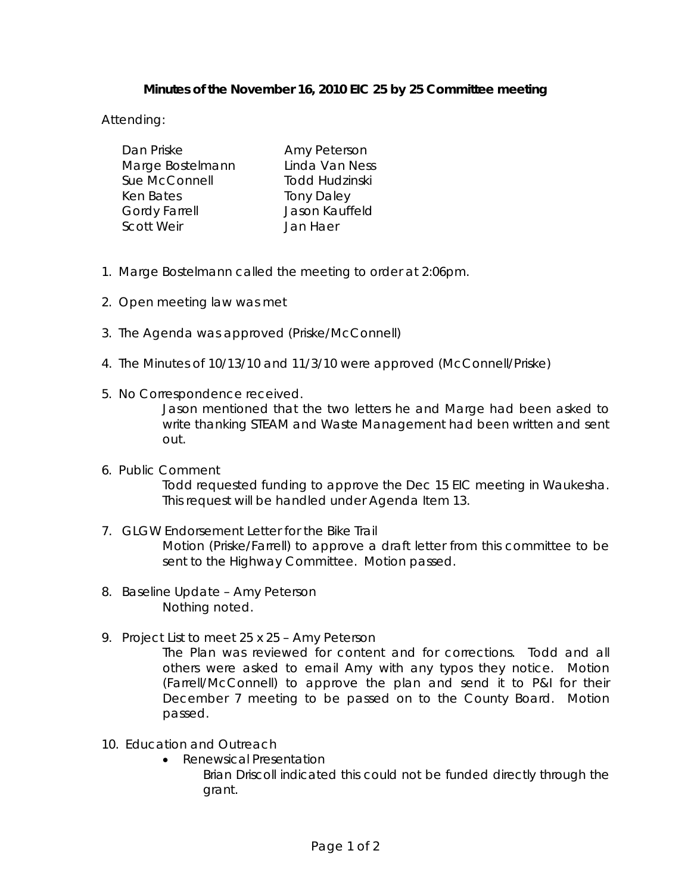# **Minutes of the November 16, 2010 EIC 25 by 25 Committee meeting**

Attending:

| Dan Priske           | Amy Peterson      |
|----------------------|-------------------|
| Marge Bostelmann     | Linda Van Ness    |
| Sue McConnell        | Todd Hudzinski    |
| Ken Bates            | <b>Tony Daley</b> |
| <b>Gordy Farrell</b> | Jason Kauffeld    |
| <b>Scott Weir</b>    | Jan Haer          |

- 1. Marge Bostelmann called the meeting to order at 2:06pm.
- 2. Open meeting law was met
- 3. The Agenda was approved (Priske/McConnell)
- 4. The Minutes of 10/13/10 and 11/3/10 were approved (McConnell/Priske)
- 5. No Correspondence received. Jason mentioned that the two letters he and Marge had been asked to write thanking STEAM and Waste Management had been written and sent out.
- 6. Public Comment Todd requested funding to approve the Dec 15 EIC meeting in Waukesha. This request will be handled under Agenda Item 13.
- 7. GLGW Endorsement Letter for the Bike Trail Motion (Priske/Farrell) to approve a draft letter from this committee to be sent to the Highway Committee. Motion passed.
- 8. Baseline Update Amy Peterson Nothing noted.
- 9. Project List to meet 25 x 25 Amy Peterson

The Plan was reviewed for content and for corrections. Todd and all others were asked to email Amy with any typos they notice. Motion (Farrell/McConnell) to approve the plan and send it to P&I for their December 7 meeting to be passed on to the County Board. Motion passed.

- 10. Education and Outreach
	- Renewsical Presentation
		- Brian Driscoll indicated this could not be funded directly through the grant.